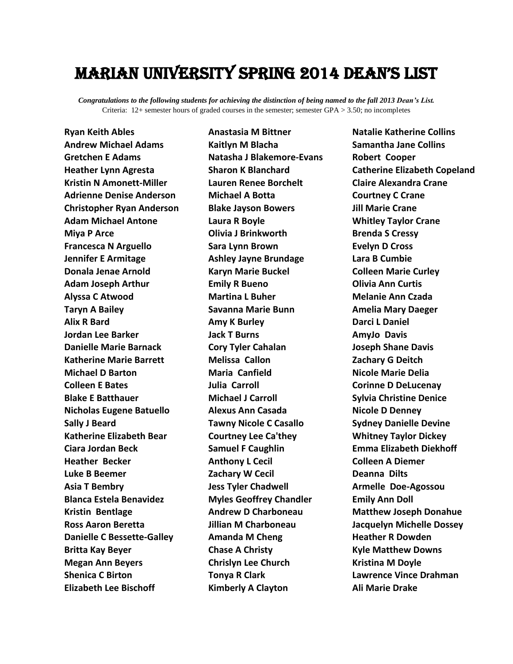## Marian university SPRING 2014 dean's list

*Congratulations to the following students for achieving the distinction of being named to the fall 2013 Dean's List.* Criteria: 12+ semester hours of graded courses in the semester; semester GPA > 3.50; no incompletes

**Ryan Keith Ables Andrew Michael Adams Gretchen E Adams Heather Lynn Agresta Kristin N Amonett-Miller Adrienne Denise Anderson Christopher Ryan Anderson Adam Michael Antone Miya P Arce Francesca N Arguello Jennifer E Armitage Donala Jenae Arnold Adam Joseph Arthur Alyssa C Atwood Taryn A Bailey Alix R Bard Jordan Lee Barker Danielle Marie Barnack Katherine Marie Barrett Michael D Barton Colleen E Bates Blake E Batthauer Nicholas Eugene Batuello Sally J Beard Katherine Elizabeth Bear Ciara Jordan Beck Heather Becker Luke B Beemer Asia T Bembry Blanca Estela Benavidez Kristin Bentlage Ross Aaron Beretta Danielle C Bessette-Galley Britta Kay Beyer Megan Ann Beyers Shenica C Birton Elizabeth Lee Bischoff**

**Anastasia M Bittner Kaitlyn M Blacha Natasha J Blakemore-Evans Sharon K Blanchard Lauren Renee Borchelt Michael A Botta Blake Jayson Bowers Laura R Boyle Olivia J Brinkworth Sara Lynn Brown Ashley Jayne Brundage Karyn Marie Buckel Emily R Bueno Martina L Buher Savanna Marie Bunn Amy K Burley Jack T Burns Cory Tyler Cahalan Melissa Callon Maria Canfield Julia Carroll Michael J Carroll Alexus Ann Casada Tawny Nicole C Casallo Courtney Lee Ca'they Samuel F Caughlin Anthony L Cecil Zachary W Cecil Jess Tyler Chadwell Myles Geoffrey Chandler Andrew D Charboneau Jillian M Charboneau Amanda M Cheng Chase A Christy Chrislyn Lee Church Tonya R Clark Kimberly A Clayton**

**Natalie Katherine Collins Samantha Jane Collins Robert Cooper Catherine Elizabeth Copeland Claire Alexandra Crane Courtney C Crane Jill Marie Crane Whitley Taylor Crane Brenda S Cressy Evelyn D Cross Lara B Cumbie Colleen Marie Curley Olivia Ann Curtis Melanie Ann Czada Amelia Mary Daeger Darci L Daniel AmyJo Davis Joseph Shane Davis Zachary G Deitch Nicole Marie Delia Corinne D DeLucenay Sylvia Christine Denice Nicole D Denney Sydney Danielle Devine Whitney Taylor Dickey Emma Elizabeth Diekhoff Colleen A Diemer Deanna Dilts Armelle Doe-Agossou Emily Ann Doll Matthew Joseph Donahue Jacquelyn Michelle Dossey Heather R Dowden Kyle Matthew Downs Kristina M Doyle Lawrence Vince Drahman Ali Marie Drake**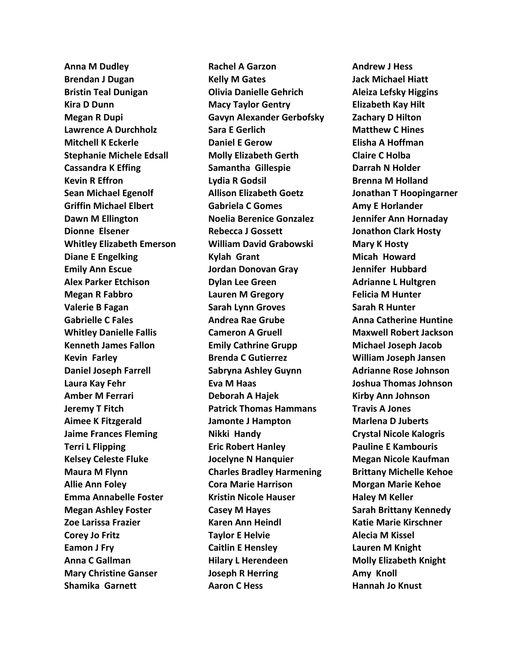**Anna M Dudley Brendan J Dugan Bristin Teal Dunigan Kira D Dunn Megan R Dupi Lawrence A Durchholz Mitchell K Eckerle Stephanie Michele Edsall Cassandra K Effing Kevin R Effron Sean Michael Egenolf Griffin Michael Elbert Dawn M Ellington Dionne Elsener Whitley Elizabeth Emerson Diane E Engelking Emily Ann Escue Alex Parker Etchison Megan R Fabbro Valerie B Fagan Gabrielle C Fales Whitley Danielle Fallis Kenneth James Fallon Kevin Farley Daniel Joseph Farrell Laura Kay Fehr Amber M Ferrari Jeremy T Fitch Aimee K Fitzgerald Jaime Frances Fleming Terri L Flipping Kelsey Celeste Fluke Maura M Flynn Allie Ann Foley Emma Annabelle Foster Megan Ashley Foster Zoe Larissa Frazier Corey Jo Fritz Eamon J Fry Anna C Gallman Mary Christine Ganser Shamika Garnett**

**Rachel A Garzon Kelly M Gates Olivia Danielle Gehrich Macy Taylor Gentry Gavyn Alexander Gerbofsky Sara E Gerlich Daniel E Gerow Molly Elizabeth Gerth Samantha Gillespie Lydia R Godsil Allison Elizabeth Goetz Gabriela C Gomes Noelia Berenice Gonzalez Rebecca J Gossett William David Grabowski Kylah Grant Jordan Donovan Gray Dylan Lee Green Lauren M Gregory Sarah Lynn Groves Andrea Rae Grube Cameron A Gruell Emily Cathrine Grupp Brenda C Gutierrez Sabryna Ashley Guynn Eva M Haas Deborah A Hajek Patrick Thomas Hammans Jamonte J Hampton Nikki Handy Eric Robert Hanley Jocelyne N Hanquier Charles Bradley Harmening Cora Marie Harrison Kristin Nicole Hauser Casey M Hayes Karen Ann Heindl Taylor E Helvie Caitlin E Hensley Hilary L Herendeen Joseph R Herring Aaron C Hess**

**Andrew J Hess Jack Michael Hiatt Aleiza Lefsky Higgins Elizabeth Kay Hilt Zachary D Hilton Matthew C Hines Elisha A Hoffman Claire C Holba Darrah N Holder Brenna M Holland Jonathan T Hoopingarner Amy E Horlander Jennifer Ann Hornaday Jonathon Clark Hosty Mary K Hosty Micah Howard Jennifer Hubbard Adrianne L Hultgren Felicia M Hunter Sarah R Hunter Anna Catherine Huntine Maxwell Robert Jackson Michael Joseph Jacob William Joseph Jansen Adrianne Rose Johnson Joshua Thomas Johnson Kirby Ann Johnson Travis A Jones Marlena D Juberts Crystal Nicole Kalogris Pauline E Kambouris Megan Nicole Kaufman Brittany Michelle Kehoe Morgan Marie Kehoe Haley M Keller Sarah Brittany Kennedy Katie Marie Kirschner Alecia M Kissel Lauren M Knight Molly Elizabeth Knight Amy Knoll Hannah Jo Knust**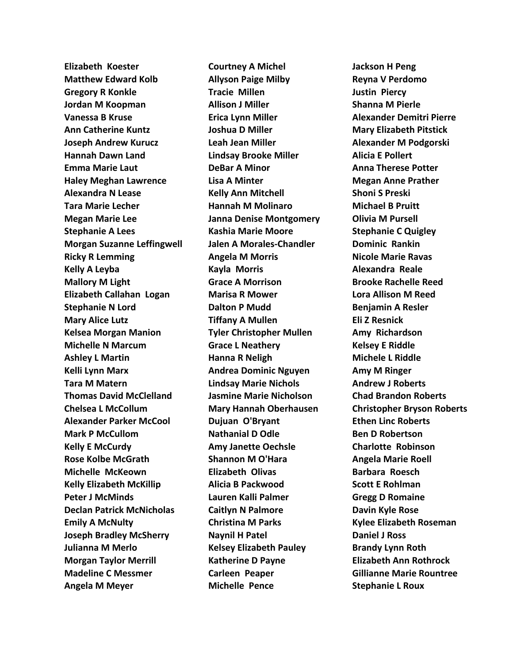**Elizabeth Koester Matthew Edward Kolb Gregory R Konkle Jordan M Koopman Vanessa B Kruse Ann Catherine Kuntz Joseph Andrew Kurucz Hannah Dawn Land Emma Marie Laut Haley Meghan Lawrence Alexandra N Lease Tara Marie Lecher Megan Marie Lee Stephanie A Lees Morgan Suzanne Leffingwell Ricky R Lemming Kelly A Leyba Mallory M Light Elizabeth Callahan Logan Stephanie N Lord Mary Alice Lutz Kelsea Morgan Manion Michelle N Marcum Ashley L Martin Kelli Lynn Marx Tara M Matern Thomas David McClelland Chelsea L McCollum Alexander Parker McCool Mark P McCullom Kelly E McCurdy Rose Kolbe McGrath Michelle McKeown Kelly Elizabeth McKillip Peter J McMinds Declan Patrick McNicholas Emily A McNulty Joseph Bradley McSherry Julianna M Merlo Morgan Taylor Merrill Madeline C Messmer Angela M Meyer**

**Courtney A Michel Allyson Paige Milby Tracie Millen Allison J Miller Erica Lynn Miller Joshua D Miller Leah Jean Miller Lindsay Brooke Miller DeBar A Minor Lisa A Minter Kelly Ann Mitchell Hannah M Molinaro Janna Denise Montgomery Kashia Marie Moore Jalen A Morales-Chandler Angela M Morris Kayla Morris Grace A Morrison Marisa R Mower Dalton P Mudd Tiffany A Mullen Tyler Christopher Mullen Grace L Neathery Hanna R Neligh Andrea Dominic Nguyen Lindsay Marie Nichols Jasmine Marie Nicholson Mary Hannah Oberhausen Dujuan O'Bryant Nathanial D Odle Amy Janette Oechsle Shannon M O'Hara Elizabeth Olivas Alicia B Packwood Lauren Kalli Palmer Caitlyn N Palmore Christina M Parks Naynil H Patel Kelsey Elizabeth Pauley Katherine D Payne Carleen Peaper Michelle Pence**

**Jackson H Peng Reyna V Perdomo Justin Piercy Shanna M Pierle Alexander Demitri Pierre Mary Elizabeth Pitstick Alexander M Podgorski Alicia E Pollert Anna Therese Potter Megan Anne Prather Shoni S Preski Michael B Pruitt Olivia M Pursell Stephanie C Quigley Dominic Rankin Nicole Marie Ravas Alexandra Reale Brooke Rachelle Reed Lora Allison M Reed Benjamin A Resler Eli Z Resnick Amy Richardson Kelsey E Riddle Michele L Riddle Amy M Ringer Andrew J Roberts Chad Brandon Roberts Christopher Bryson Roberts Ethen Linc Roberts Ben D Robertson Charlotte Robinson Angela Marie Roell Barbara Roesch Scott E Rohlman Gregg D Romaine Davin Kyle Rose Kylee Elizabeth Roseman Daniel J Ross Brandy Lynn Roth Elizabeth Ann Rothrock Gillianne Marie Rountree Stephanie L Roux**